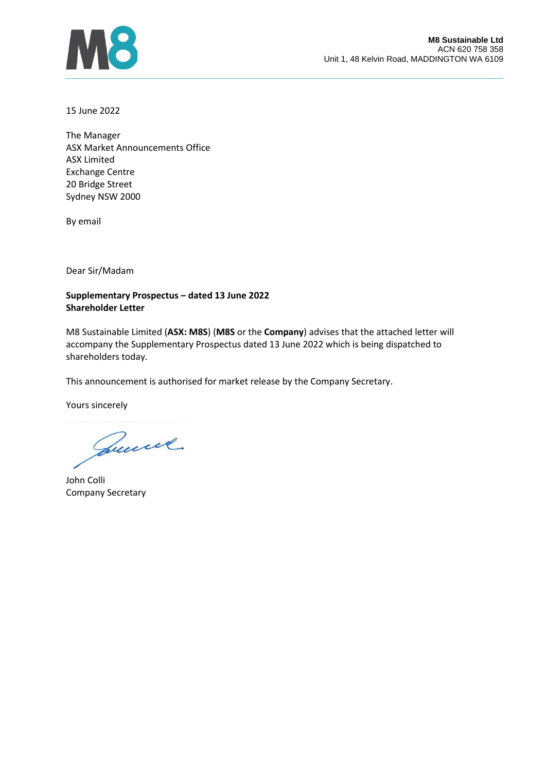

15 June 2022

The Manager ASX Market Announcements Office ASX Limited Exchange Centre 20 Bridge Street Sydney NSW 2000

By email

Dear Sir/Madam

## **Supplementary Prospectus – dated 13 June 2022 Shareholder Letter**

M8 Sustainable Limited (**ASX: M8S**) (**M8S** or the **Company**) advises that the attached letter will accompany the Supplementary Prospectus dated 13 June 2022 which is being dispatched to shareholders today.

This announcement is authorised for market release by the Company Secretary.

Yours sincerely

Quincel.

John Colli Company Secretary